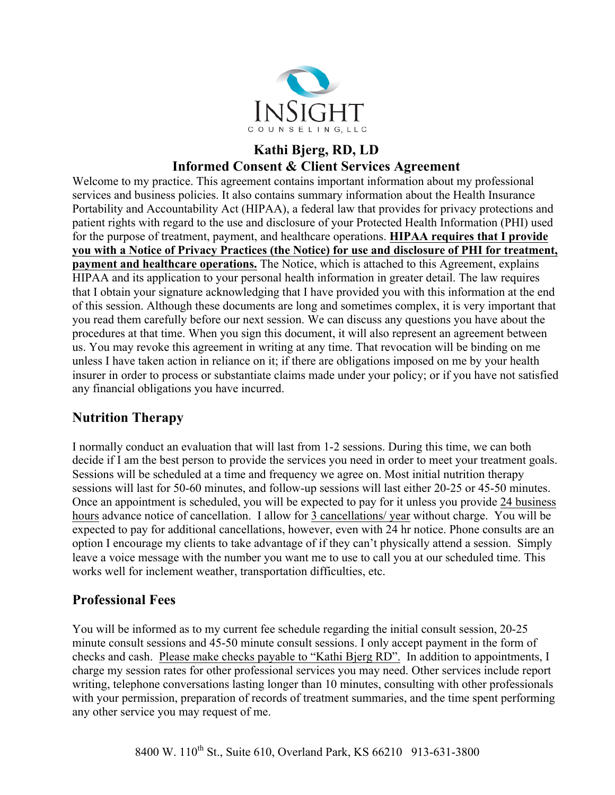

#### **Kathi Bjerg, RD, LD Informed Consent & Client Services Agreement**

Welcome to my practice. This agreement contains important information about my professional services and business policies. It also contains summary information about the Health Insurance Portability and Accountability Act (HIPAA), a federal law that provides for privacy protections and patient rights with regard to the use and disclosure of your Protected Health Information (PHI) used for the purpose of treatment, payment, and healthcare operations. **HIPAA requires that I provide you with a Notice of Privacy Practices (the Notice) for use and disclosure of PHI for treatment, payment and healthcare operations.** The Notice, which is attached to this Agreement, explains HIPAA and its application to your personal health information in greater detail. The law requires that I obtain your signature acknowledging that I have provided you with this information at the end of this session. Although these documents are long and sometimes complex, it is very important that you read them carefully before our next session. We can discuss any questions you have about the procedures at that time. When you sign this document, it will also represent an agreement between us. You may revoke this agreement in writing at any time. That revocation will be binding on me unless I have taken action in reliance on it; if there are obligations imposed on me by your health insurer in order to process or substantiate claims made under your policy; or if you have not satisfied any financial obligations you have incurred.

## **Nutrition Therapy**

I normally conduct an evaluation that will last from 1-2 sessions. During this time, we can both decide if I am the best person to provide the services you need in order to meet your treatment goals. Sessions will be scheduled at a time and frequency we agree on. Most initial nutrition therapy sessions will last for 50-60 minutes, and follow-up sessions will last either 20-25 or 45-50 minutes. Once an appointment is scheduled, you will be expected to pay for it unless you provide 24 business hours advance notice of cancellation. I allow for 3 cancellations/ year without charge. You will be expected to pay for additional cancellations, however, even with 24 hr notice. Phone consults are an option I encourage my clients to take advantage of if they can't physically attend a session. Simply leave a voice message with the number you want me to use to call you at our scheduled time. This works well for inclement weather, transportation difficulties, etc.

#### **Professional Fees**

You will be informed as to my current fee schedule regarding the initial consult session, 20-25 minute consult sessions and 45-50 minute consult sessions. I only accept payment in the form of checks and cash. Please make checks payable to "Kathi Bjerg RD". In addition to appointments, I charge my session rates for other professional services you may need. Other services include report writing, telephone conversations lasting longer than 10 minutes, consulting with other professionals with your permission, preparation of records of treatment summaries, and the time spent performing any other service you may request of me.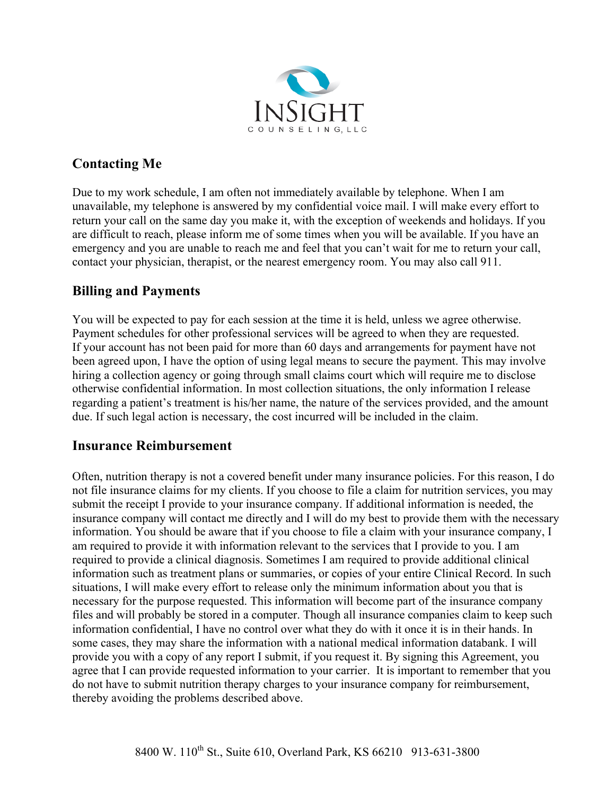

## **Contacting Me**

Due to my work schedule, I am often not immediately available by telephone. When I am unavailable, my telephone is answered by my confidential voice mail. I will make every effort to return your call on the same day you make it, with the exception of weekends and holidays. If you are difficult to reach, please inform me of some times when you will be available. If you have an emergency and you are unable to reach me and feel that you can't wait for me to return your call, contact your physician, therapist, or the nearest emergency room. You may also call 911.

#### **Billing and Payments**

You will be expected to pay for each session at the time it is held, unless we agree otherwise. Payment schedules for other professional services will be agreed to when they are requested. If your account has not been paid for more than 60 days and arrangements for payment have not been agreed upon, I have the option of using legal means to secure the payment. This may involve hiring a collection agency or going through small claims court which will require me to disclose otherwise confidential information. In most collection situations, the only information I release regarding a patient's treatment is his/her name, the nature of the services provided, and the amount due. If such legal action is necessary, the cost incurred will be included in the claim.

#### **Insurance Reimbursement**

Often, nutrition therapy is not a covered benefit under many insurance policies. For this reason, I do not file insurance claims for my clients. If you choose to file a claim for nutrition services, you may submit the receipt I provide to your insurance company. If additional information is needed, the insurance company will contact me directly and I will do my best to provide them with the necessary information. You should be aware that if you choose to file a claim with your insurance company, I am required to provide it with information relevant to the services that I provide to you. I am required to provide a clinical diagnosis. Sometimes I am required to provide additional clinical information such as treatment plans or summaries, or copies of your entire Clinical Record. In such situations, I will make every effort to release only the minimum information about you that is necessary for the purpose requested. This information will become part of the insurance company files and will probably be stored in a computer. Though all insurance companies claim to keep such information confidential, I have no control over what they do with it once it is in their hands. In some cases, they may share the information with a national medical information databank. I will provide you with a copy of any report I submit, if you request it. By signing this Agreement, you agree that I can provide requested information to your carrier. It is important to remember that you do not have to submit nutrition therapy charges to your insurance company for reimbursement, thereby avoiding the problems described above.